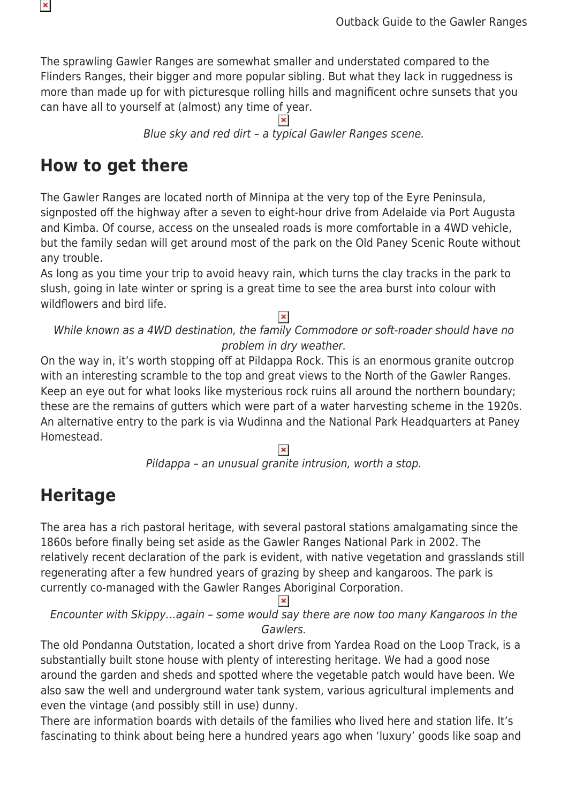The sprawling Gawler Ranges are somewhat smaller and understated compared to the Flinders Ranges, their bigger and more popular sibling. But what they lack in ruggedness is more than made up for with picturesque rolling hills and magnificent ochre sunsets that you can have all to yourself at (almost) any time of year.

Blue sky and red dirt – a typical Gawler Ranges scene.

## **How to get there**

The Gawler Ranges are located north of Minnipa at the very top of the Eyre Peninsula, signposted off the highway after a seven to eight-hour drive from Adelaide via Port Augusta and Kimba. Of course, access on the unsealed roads is more comfortable in a 4WD vehicle, but the family sedan will get around most of the park on the Old Paney Scenic Route without any trouble.

As long as you time your trip to avoid heavy rain, which turns the clay tracks in the park to slush, going in late winter or spring is a great time to see the area burst into colour with wildflowers and bird life.

While known as a 4WD destination, the family Commodore or soft-roader should have no problem in dry weather.

On the way in, it's worth stopping off at Pildappa Rock. This is an enormous granite outcrop with an interesting scramble to the top and great views to the North of the Gawler Ranges. Keep an eye out for what looks like mysterious rock ruins all around the northern boundary; these are the remains of gutters which were part of a water harvesting scheme in the 1920s. An alternative entry to the park is via Wudinna and the National Park Headquarters at Paney Homestead.

Pildappa – an unusual granite intrusion, worth a stop.

# **Heritage**

The area has a rich pastoral heritage, with several pastoral stations amalgamating since the 1860s before finally being set aside as the Gawler Ranges National Park in 2002. The relatively recent declaration of the park is evident, with native vegetation and grasslands still regenerating after a few hundred years of grazing by sheep and kangaroos. The park is currently co-managed with the Gawler Ranges Aboriginal Corporation.  $\pmb{\times}$ 

Encounter with Skippy…again – some would say there are now too many Kangaroos in the Gawlers.

The old Pondanna Outstation, located a short drive from Yardea Road on the Loop Track, is a substantially built stone house with plenty of interesting heritage. We had a good nose around the garden and sheds and spotted where the vegetable patch would have been. We also saw the well and underground water tank system, various agricultural implements and even the vintage (and possibly still in use) dunny.

There are information boards with details of the families who lived here and station life. It's fascinating to think about being here a hundred years ago when 'luxury' goods like soap and

 $\pmb{\mathsf{x}}$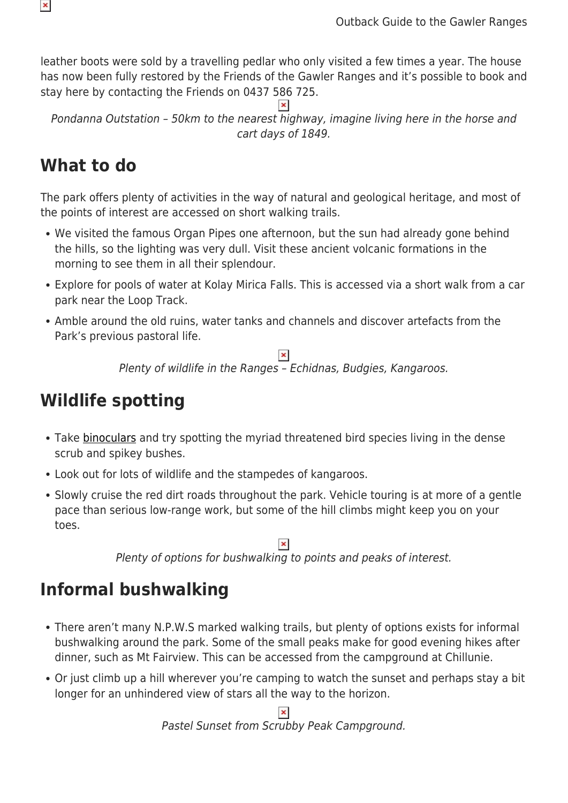leather boots were sold by a travelling pedlar who only visited a few times a year. The house has now been fully restored by the Friends of the Gawler Ranges and it's possible to book and stay here by contacting the Friends on 0437 586 725.

Pondanna Outstation – 50km to the nearest highway, imagine living here in the horse and cart days of 1849.

## **What to do**

The park offers plenty of activities in the way of natural and geological heritage, and most of the points of interest are accessed on short walking trails.

- We visited the famous Organ Pipes one afternoon, but the sun had already gone behind the hills, so the lighting was very dull. Visit these ancient volcanic formations in the morning to see them in all their splendour.
- Explore for pools of water at Kolay Mirica Falls. This is accessed via a short walk from a car park near the Loop Track.
- Amble around the old ruins, water tanks and channels and discover artefacts from the Park's previous pastoral life.

 $\pmb{\times}$ Plenty of wildlife in the Ranges – Echidnas, Budgies, Kangaroos.

## **Wildlife spotting**

- Take [binoculars](https://www.snowys.com.au/binoculars) and try spotting the myriad threatened bird species living in the dense scrub and spikey bushes.
- Look out for lots of wildlife and the stampedes of kangaroos.
- Slowly cruise the red dirt roads throughout the park. Vehicle touring is at more of a gentle pace than serious low-range work, but some of the hill climbs might keep you on your toes.

 $\pmb{\times}$ 

Plenty of options for bushwalking to points and peaks of interest.

# **Informal bushwalking**

- There aren't many N.P.W.S marked walking trails, but plenty of options exists for informal bushwalking around the park. Some of the small peaks make for good evening hikes after dinner, such as Mt Fairview. This can be accessed from the campground at Chillunie.
- Or just climb up a hill wherever you're camping to watch the sunset and perhaps stay a bit longer for an unhindered view of stars all the way to the horizon.

Pastel Sunset from Scrubby Peak Campground.

 $\pmb{\times}$